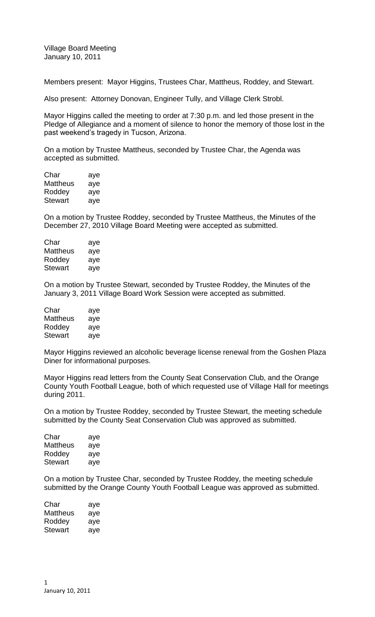Village Board Meeting January 10, 2011

Members present: Mayor Higgins, Trustees Char, Mattheus, Roddey, and Stewart.

Also present: Attorney Donovan, Engineer Tully, and Village Clerk Strobl.

Mayor Higgins called the meeting to order at 7:30 p.m. and led those present in the Pledge of Allegiance and a moment of silence to honor the memory of those lost in the past weekend's tragedy in Tucson, Arizona.

On a motion by Trustee Mattheus, seconded by Trustee Char, the Agenda was accepted as submitted.

| Char     | aye |
|----------|-----|
| Mattheus | aye |
| Roddey   | aye |
| Stewart  | aye |

On a motion by Trustee Roddey, seconded by Trustee Mattheus, the Minutes of the December 27, 2010 Village Board Meeting were accepted as submitted.

| Char     | aye |
|----------|-----|
| Mattheus | aye |
| Roddey   | aye |
| Stewart  | aye |
|          |     |

On a motion by Trustee Stewart, seconded by Trustee Roddey, the Minutes of the January 3, 2011 Village Board Work Session were accepted as submitted.

| Char     | aye |
|----------|-----|
| Mattheus | aye |
| Roddey   | aye |
| Stewart  | aye |

Mayor Higgins reviewed an alcoholic beverage license renewal from the Goshen Plaza Diner for informational purposes.

Mayor Higgins read letters from the County Seat Conservation Club, and the Orange County Youth Football League, both of which requested use of Village Hall for meetings during 2011.

On a motion by Trustee Roddey, seconded by Trustee Stewart, the meeting schedule submitted by the County Seat Conservation Club was approved as submitted.

| Char     | aye |
|----------|-----|
| Mattheus | aye |
| Roddey   | aye |
| Stewart  | aye |

On a motion by Trustee Char, seconded by Trustee Roddey, the meeting schedule submitted by the Orange County Youth Football League was approved as submitted.

| Char     | aye |
|----------|-----|
| Mattheus | aye |
| Roddey   | aye |
| Stewart  | aye |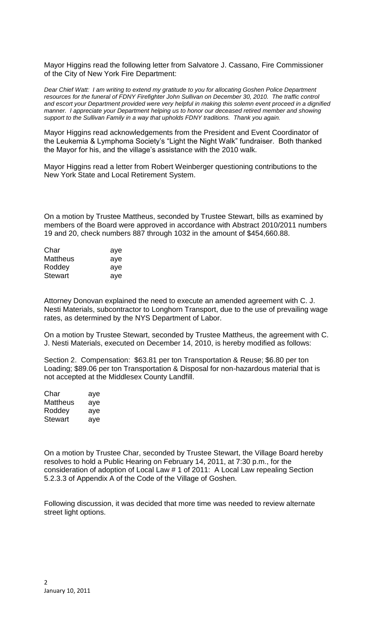Mayor Higgins read the following letter from Salvatore J. Cassano, Fire Commissioner of the City of New York Fire Department:

*Dear Chief Watt: I am writing to extend my gratitude to you for allocating Goshen Police Department resources for the funeral of FDNY Firefighter John Sullivan on December 30, 2010. The traffic control and escort your Department provided were very helpful in making this solemn event proceed in a dignified manner. I appreciate your Department helping us to honor our deceased retired member and showing support to the Sullivan Family in a way that upholds FDNY traditions. Thank you again.*

Mayor Higgins read acknowledgements from the President and Event Coordinator of the Leukemia & Lymphoma Society's "Light the Night Walk" fundraiser. Both thanked the Mayor for his, and the village's assistance with the 2010 walk.

Mayor Higgins read a letter from Robert Weinberger questioning contributions to the New York State and Local Retirement System.

On a motion by Trustee Mattheus, seconded by Trustee Stewart, bills as examined by members of the Board were approved in accordance with Abstract 2010/2011 numbers 19 and 20, check numbers 887 through 1032 in the amount of \$454,660.88.

| aye |
|-----|
| aye |
| aye |
| aye |
|     |

Attorney Donovan explained the need to execute an amended agreement with C. J. Nesti Materials, subcontractor to Longhorn Transport, due to the use of prevailing wage rates, as determined by the NYS Department of Labor.

On a motion by Trustee Stewart, seconded by Trustee Mattheus, the agreement with C. J. Nesti Materials, executed on December 14, 2010, is hereby modified as follows:

Section 2. Compensation: \$63.81 per ton Transportation & Reuse; \$6.80 per ton Loading; \$89.06 per ton Transportation & Disposal for non-hazardous material that is not accepted at the Middlesex County Landfill.

| Char           | aye |
|----------------|-----|
| Mattheus       | aye |
| Roddey         | aye |
| <b>Stewart</b> | aye |

On a motion by Trustee Char, seconded by Trustee Stewart, the Village Board hereby resolves to hold a Public Hearing on February 14, 2011, at 7:30 p.m., for the consideration of adoption of Local Law # 1 of 2011: A Local Law repealing Section 5.2.3.3 of Appendix A of the Code of the Village of Goshen.

Following discussion, it was decided that more time was needed to review alternate street light options.